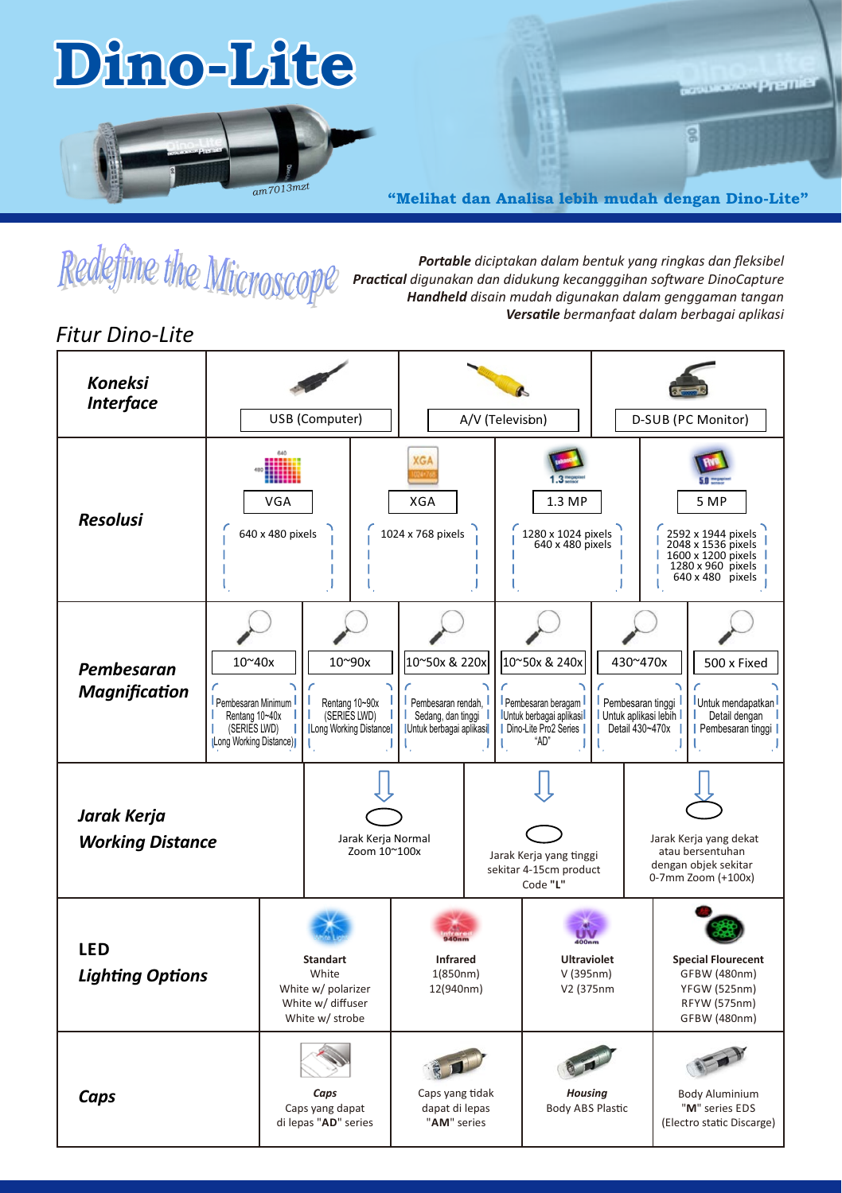# **Dino-Lite**



**"Melihat dan Analisa lebih mudah dengan Dino-Lite"**

**Controller Premier** 

 $\overline{\mathbf{S}}$ 



*Portable diciptakan dalam bentuk yang ringkas dan fleksibel Practical digunakan dan didukung kecangggihan software DinoCapture Handheld disain mudah digunakan dalam genggaman tangan Versale bermanfaat dalam berbagai aplikasi* 

## *Fitur Dino-Lite*